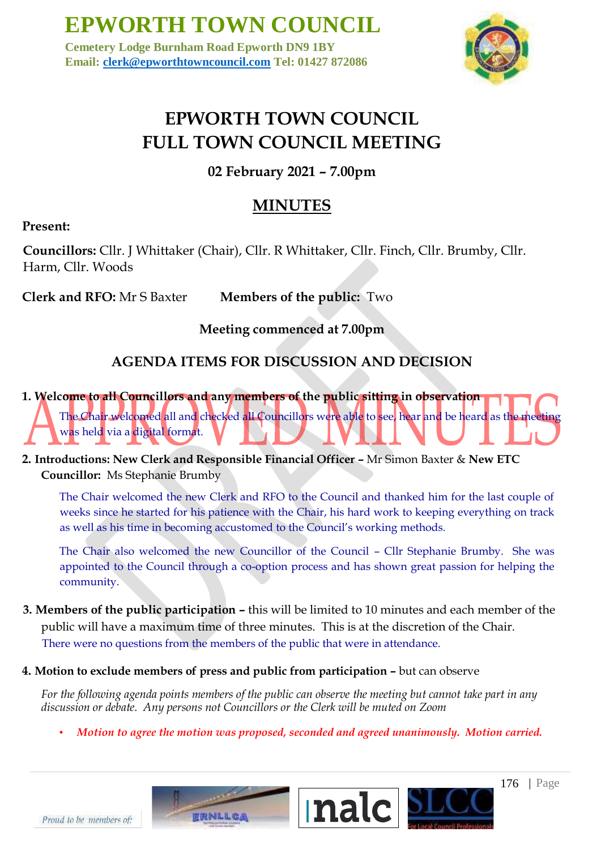**Cemetery Lodge Burnham Road Epworth DN9 1BY Email: clerk@epworthtowncouncil.com Tel: 01427 872086**



# **EPWORTH TOWN COUNCIL FULL TOWN COUNCIL MEETING**

**02 February 2021 – 7.00pm** 

# **MINUTES**

## **Present:**

**Councillors:** Cllr. J Whittaker (Chair), Cllr. R Whittaker, Cllr. Finch, Cllr. Brumby, Cllr. Harm, Cllr. Woods

**Clerk and RFO:** Mr S Baxter **Members of the public:** Two

## **Meeting commenced at 7.00pm**

# **AGENDA ITEMS FOR DISCUSSION AND DECISION**

**1. Welcome to all Councillors and any members of the public sitting in observation**  The Chair welcomed all and checked all Councillors were able to see, hear and be heard as the meeting was held via a digital format.

**2. Introductions: New Clerk and Responsible Financial Officer –** Mr Simon Baxter & **New ETC Councillor:** Ms Stephanie Brumby

The Chair welcomed the new Clerk and RFO to the Council and thanked him for the last couple of weeks since he started for his patience with the Chair, his hard work to keeping everything on track as well as his time in becoming accustomed to the Council's working methods.

The Chair also welcomed the new Councillor of the Council – Cllr Stephanie Brumby. She was appointed to the Council through a co-option process and has shown great passion for helping the community.

- **3. Members of the public participation –** this will be limited to 10 minutes and each member of the public will have a maximum time of three minutes. This is at the discretion of the Chair. There were no questions from the members of the public that were in attendance.
- **4. Motion to exclude members of press and public from participation –** but can observe

**FRNLLCA** 

*For the following agenda points members of the public can observe the meeting but cannot take part in any discussion or debate. Any persons not Councillors or the Clerk will be muted on Zoom* 

• *Motion to agree the motion was proposed, seconded and agreed unanimously. Motion carried.* 



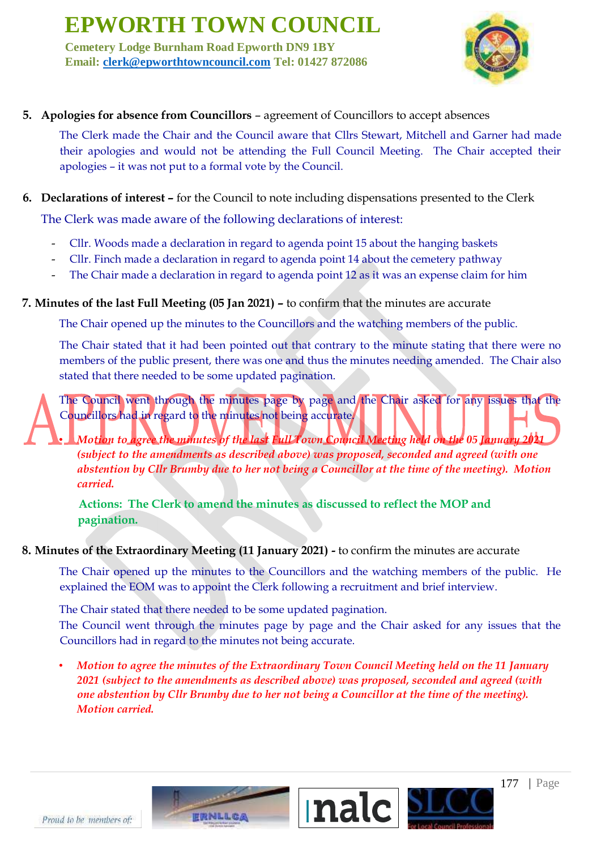**Cemetery Lodge Burnham Road Epworth DN9 1BY Email: clerk@epworthtowncouncil.com Tel: 01427 872086**



### **5. Apologies for absence from Councillors** – agreement of Councillors to accept absences

The Clerk made the Chair and the Council aware that Cllrs Stewart, Mitchell and Garner had made their apologies and would not be attending the Full Council Meeting. The Chair accepted their apologies – it was not put to a formal vote by the Council.

#### **6. Declarations of interest –** for the Council to note including dispensations presented to the Clerk

The Clerk was made aware of the following declarations of interest:

- Cllr. Woods made a declaration in regard to agenda point 15 about the hanging baskets
- Cllr. Finch made a declaration in regard to agenda point 14 about the cemetery pathway
- The Chair made a declaration in regard to agenda point 12 as it was an expense claim for him

### **7. Minutes of the last Full Meeting (05 Jan 2021) –** to confirm that the minutes are accurate

The Chair opened up the minutes to the Councillors and the watching members of the public.

The Chair stated that it had been pointed out that contrary to the minute stating that there were no members of the public present, there was one and thus the minutes needing amended. The Chair also stated that there needed to be some updated pagination.

The Council went through the minutes page by page and the Chair asked for any issues that the Councillors had in regard to the minutes not being accurate.

• *Motion to agree the minutes of the last Full Town Council Meeting held on the 05 January 2021 (subject to the amendments as described above) was proposed, seconded and agreed (with one abstention by Cllr Brumby due to her not being a Councillor at the time of the meeting). Motion carried.*

**Actions: The Clerk to amend the minutes as discussed to reflect the MOP and pagination.**

#### **8. Minutes of the Extraordinary Meeting (11 January 2021) -** to confirm the minutes are accurate

The Chair opened up the minutes to the Councillors and the watching members of the public. He explained the EOM was to appoint the Clerk following a recruitment and brief interview.

The Chair stated that there needed to be some updated pagination.

The Council went through the minutes page by page and the Chair asked for any issues that the Councillors had in regard to the minutes not being accurate.

• *Motion to agree the minutes of the Extraordinary Town Council Meeting held on the 11 January 2021 (subject to the amendments as described above) was proposed, seconded and agreed (with one abstention by Cllr Brumby due to her not being a Councillor at the time of the meeting). Motion carried.*

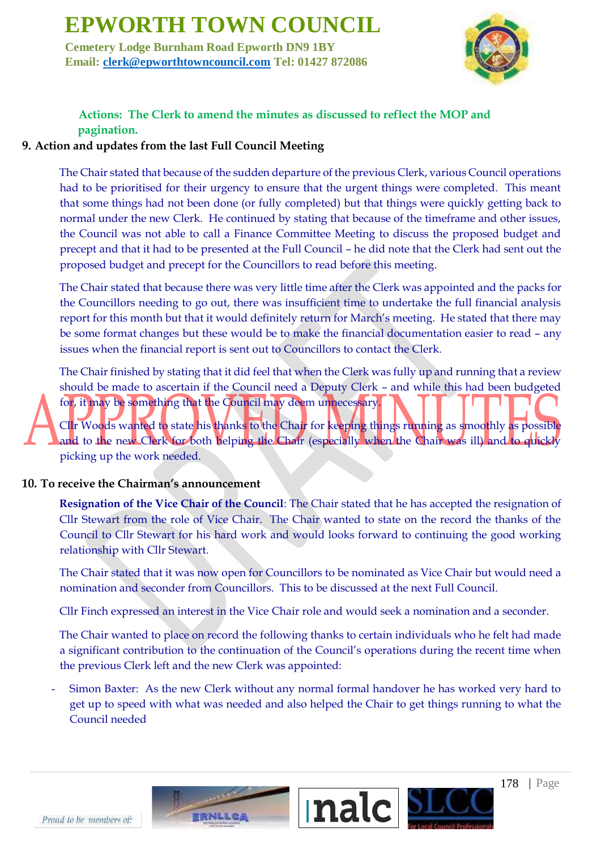**Cemetery Lodge Burnham Road Epworth DN9 1BY Email: clerk@epworthtowncouncil.com Tel: 01427 872086**



## **Actions: The Clerk to amend the minutes as discussed to reflect the MOP and pagination.**

### **9. Action and updates from the last Full Council Meeting**

The Chair stated that because of the sudden departure of the previous Clerk, various Council operations had to be prioritised for their urgency to ensure that the urgent things were completed. This meant that some things had not been done (or fully completed) but that things were quickly getting back to normal under the new Clerk. He continued by stating that because of the timeframe and other issues, the Council was not able to call a Finance Committee Meeting to discuss the proposed budget and precept and that it had to be presented at the Full Council – he did note that the Clerk had sent out the proposed budget and precept for the Councillors to read before this meeting.

The Chair stated that because there was very little time after the Clerk was appointed and the packs for the Councillors needing to go out, there was insufficient time to undertake the full financial analysis report for this month but that it would definitely return for March's meeting. He stated that there may be some format changes but these would be to make the financial documentation easier to read – any issues when the financial report is sent out to Councillors to contact the Clerk.

The Chair finished by stating that it did feel that when the Clerk was fully up and running that a review should be made to ascertain if the Council need a Deputy Clerk – and while this had been budgeted for, it may be something that the Council may deem unnecessary.

Cllr Woods wanted to state his thanks to the Chair for keeping things running as smoothly as possible and to the new Clerk for both helping the Chair (especially when the Chair was ill) and to quickly picking up the work needed.

#### **10. To receive the Chairman's announcement**

**Resignation of the Vice Chair of the Council**: The Chair stated that he has accepted the resignation of Cllr Stewart from the role of Vice Chair. The Chair wanted to state on the record the thanks of the Council to Cllr Stewart for his hard work and would looks forward to continuing the good working relationship with Cllr Stewart.

The Chair stated that it was now open for Councillors to be nominated as Vice Chair but would need a nomination and seconder from Councillors. This to be discussed at the next Full Council.

Cllr Finch expressed an interest in the Vice Chair role and would seek a nomination and a seconder.

The Chair wanted to place on record the following thanks to certain individuals who he felt had made a significant contribution to the continuation of the Council's operations during the recent time when the previous Clerk left and the new Clerk was appointed:

Simon Baxter: As the new Clerk without any normal formal handover he has worked very hard to get up to speed with what was needed and also helped the Chair to get things running to what the Council needed



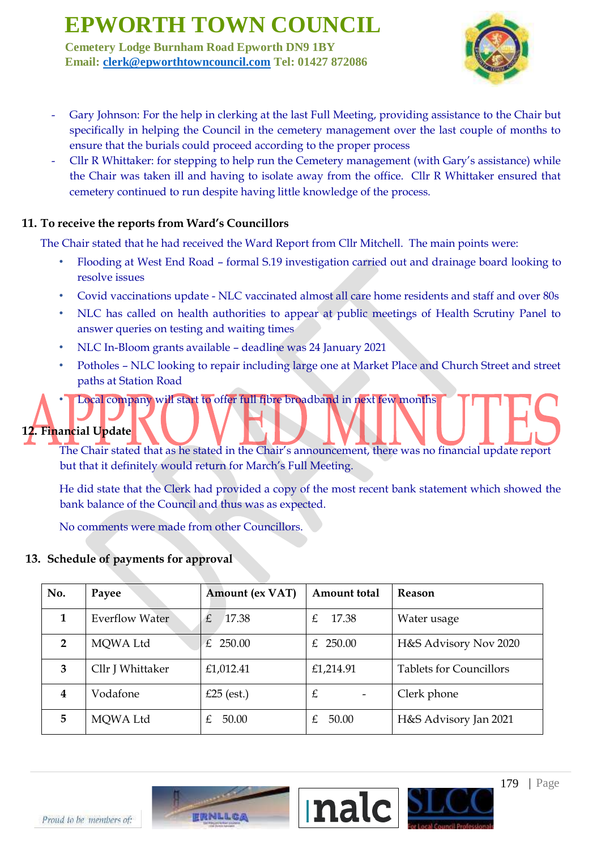**Cemetery Lodge Burnham Road Epworth DN9 1BY Email: clerk@epworthtowncouncil.com Tel: 01427 872086**



- Gary Johnson: For the help in clerking at the last Full Meeting, providing assistance to the Chair but specifically in helping the Council in the cemetery management over the last couple of months to ensure that the burials could proceed according to the proper process
- Cllr R Whittaker: for stepping to help run the Cemetery management (with Gary's assistance) while the Chair was taken ill and having to isolate away from the office. Cllr R Whittaker ensured that cemetery continued to run despite having little knowledge of the process.

### **11. To receive the reports from Ward's Councillors**

The Chair stated that he had received the Ward Report from Cllr Mitchell. The main points were:

- Flooding at West End Road formal S.19 investigation carried out and drainage board looking to resolve issues
- Covid vaccinations update NLC vaccinated almost all care home residents and staff and over 80s
- NLC has called on health authorities to appear at public meetings of Health Scrutiny Panel to answer queries on testing and waiting times
- NLC In-Bloom grants available deadline was 24 January 2021
- Potholes NLC looking to repair including large one at Market Place and Church Street and street paths at Station Road

# • Local company will start to offer full fibre broadband in next few months

## **12. Financial Update**

The Chair stated that as he stated in the Chair's announcement, there was no financial update report but that it definitely would return for March's Full Meeting.

He did state that the Clerk had provided a copy of the most recent bank statement which showed the bank balance of the Council and thus was as expected.

No comments were made from other Councillors.

### **13. Schedule of payments for approval**

| No.            | Payee                 | <b>Amount (ex VAT)</b> | Amount total | <b>Reason</b>                  |
|----------------|-----------------------|------------------------|--------------|--------------------------------|
| 1              | <b>Everflow Water</b> | 17.38<br>£             | 17.38<br>£.  | Water usage                    |
| $\overline{2}$ | MQWA Ltd              | £ 250.00               | £ $250.00$   | H&S Advisory Nov 2020          |
| 3              | Cllr J Whittaker      | £1,012.41              | £1,214.91    | <b>Tablets for Councillors</b> |
| 4              | Vodafone              | £25 (est.)             | £            | Clerk phone                    |
| 5              | MOWA Ltd              | 50.00                  | 50.00<br>£.  | H&S Advisory Jan 2021          |

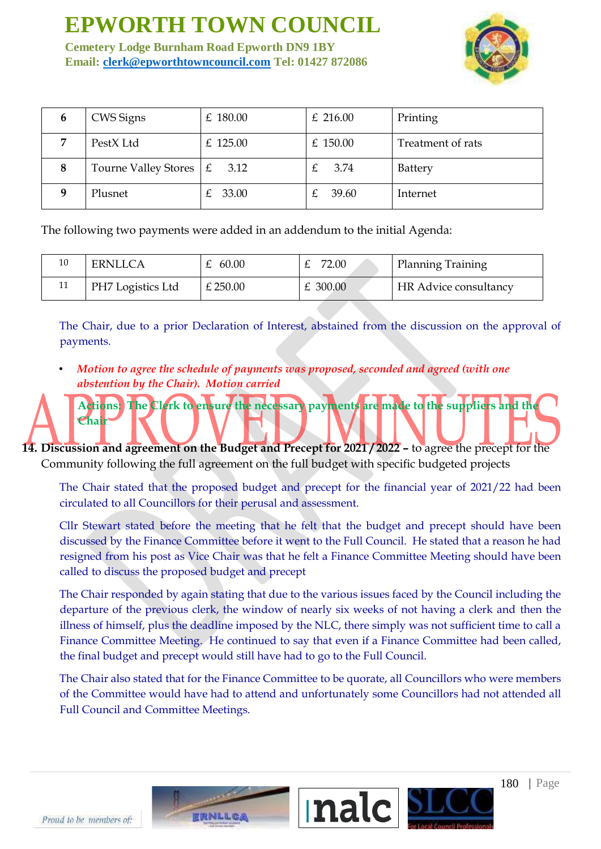**Cemetery Lodge Burnham Road Epworth DN9 1BY Email: clerk@epworthtowncouncil.com Tel: 01427 872086**



| 6 | CWS Signs                          | $£$ 180.00 | £ 216.00   | Printing          |
|---|------------------------------------|------------|------------|-------------------|
|   | PestX Ltd                          | £ $125.00$ | £ $150.00$ | Treatment of rats |
| 8 | Tourne Valley Stores $\mathcal{E}$ | 3.12       | 3.74       | <b>Battery</b>    |
|   | Plusnet                            | 33.00      | 39.60      | Internet          |

The following two payments were added in an addendum to the initial Agenda:

| ERNLLCA           | 60.00      | 72.00    | Planning Training     |
|-------------------|------------|----------|-----------------------|
| PH7 Logistics Ltd | $£$ 250.00 | £ 300.00 | HR Advice consultancy |

The Chair, due to a prior Declaration of Interest, abstained from the discussion on the approval of payments.

**Actions: The Clerk to ensure the necessary payments are made to the suppliers and the** 

• *Motion to agree the schedule of payments was proposed, seconded and agreed (with one abstention by the Chair). Motion carried*

**14. Discussion and agreement on the Budget and Precept for 2021 / 2022 –** to agree the precept for the Community following the full agreement on the full budget with specific budgeted projects

The Chair stated that the proposed budget and precept for the financial year of 2021/22 had been circulated to all Councillors for their perusal and assessment.

Cllr Stewart stated before the meeting that he felt that the budget and precept should have been discussed by the Finance Committee before it went to the Full Council. He stated that a reason he had resigned from his post as Vice Chair was that he felt a Finance Committee Meeting should have been called to discuss the proposed budget and precept

The Chair responded by again stating that due to the various issues faced by the Council including the departure of the previous clerk, the window of nearly six weeks of not having a clerk and then the illness of himself, plus the deadline imposed by the NLC, there simply was not sufficient time to call a Finance Committee Meeting. He continued to say that even if a Finance Committee had been called, the final budget and precept would still have had to go to the Full Council.

The Chair also stated that for the Finance Committee to be quorate, all Councillors who were members of the Committee would have had to attend and unfortunately some Councillors had not attended all Full Council and Committee Meetings.



180 | Page

**Chair**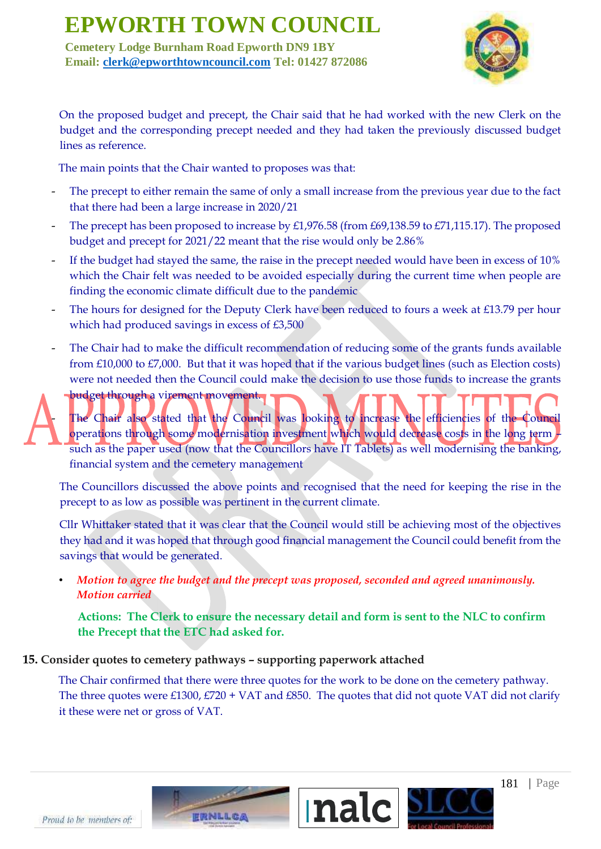**Cemetery Lodge Burnham Road Epworth DN9 1BY Email: clerk@epworthtowncouncil.com Tel: 01427 872086**



On the proposed budget and precept, the Chair said that he had worked with the new Clerk on the budget and the corresponding precept needed and they had taken the previously discussed budget lines as reference.

The main points that the Chair wanted to proposes was that:

- The precept to either remain the same of only a small increase from the previous year due to the fact that there had been a large increase in 2020/21
- The precept has been proposed to increase by £1,976.58 (from £69,138.59 to £71,115.17). The proposed budget and precept for 2021/22 meant that the rise would only be 2.86%
- If the budget had stayed the same, the raise in the precept needed would have been in excess of 10% which the Chair felt was needed to be avoided especially during the current time when people are finding the economic climate difficult due to the pandemic
- The hours for designed for the Deputy Clerk have been reduced to fours a week at £13.79 per hour which had produced savings in excess of £3,500
- The Chair had to make the difficult recommendation of reducing some of the grants funds available from £10,000 to £7,000. But that it was hoped that if the various budget lines (such as Election costs) were not needed then the Council could make the decision to use those funds to increase the grants

budget through a virement movement. The Chair also stated that the Council was looking to increase the efficiencies of the Council operations through some modernisation investment which would decrease costs in the long term – such as the paper used (now that the Councillors have IT Tablets) as well modernising the banking, financial system and the cemetery management

The Councillors discussed the above points and recognised that the need for keeping the rise in the precept to as low as possible was pertinent in the current climate.

Cllr Whittaker stated that it was clear that the Council would still be achieving most of the objectives they had and it was hoped that through good financial management the Council could benefit from the savings that would be generated.

• *Motion to agree the budget and the precept was proposed, seconded and agreed unanimously. Motion carried*

**Actions: The Clerk to ensure the necessary detail and form is sent to the NLC to confirm the Precept that the ETC had asked for.**

### **15. Consider quotes to cemetery pathways – supporting paperwork attached**

The Chair confirmed that there were three quotes for the work to be done on the cemetery pathway. The three quotes were £1300, £720 + VAT and £850. The quotes that did not quote VAT did not clarify it these were net or gross of VAT.



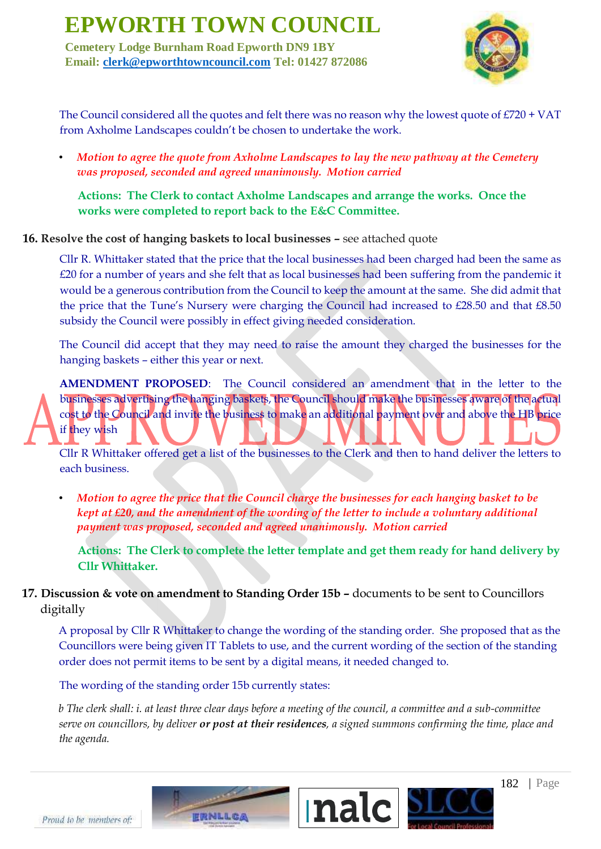**Cemetery Lodge Burnham Road Epworth DN9 1BY Email: clerk@epworthtowncouncil.com Tel: 01427 872086**



The Council considered all the quotes and felt there was no reason why the lowest quote of £720 + VAT from Axholme Landscapes couldn't be chosen to undertake the work.

• *Motion to agree the quote from Axholme Landscapes to lay the new pathway at the Cemetery was proposed, seconded and agreed unanimously. Motion carried*

**Actions: The Clerk to contact Axholme Landscapes and arrange the works. Once the works were completed to report back to the E&C Committee.**

**16. Resolve the cost of hanging baskets to local businesses –** see attached quote

Cllr R. Whittaker stated that the price that the local businesses had been charged had been the same as £20 for a number of years and she felt that as local businesses had been suffering from the pandemic it would be a generous contribution from the Council to keep the amount at the same. She did admit that the price that the Tune's Nursery were charging the Council had increased to £28.50 and that £8.50 subsidy the Council were possibly in effect giving needed consideration.

The Council did accept that they may need to raise the amount they charged the businesses for the hanging baskets – either this year or next.

**AMENDMENT PROPOSED**: The Council considered an amendment that in the letter to the businesses advertising the hanging baskets, the Council should make the businesses aware of the actual cost to the Council and invite the business to make an additional payment over and above the HB price if they wish

Cllr R Whittaker offered get a list of the businesses to the Clerk and then to hand deliver the letters to each business.

• *Motion to agree the price that the Council charge the businesses for each hanging basket to be kept at £20, and the amendment of the wording of the letter to include a voluntary additional payment was proposed, seconded and agreed unanimously. Motion carried*

**Actions: The Clerk to complete the letter template and get them ready for hand delivery by Cllr Whittaker.**

**17. Discussion & vote on amendment to Standing Order 15b –** documents to be sent to Councillors digitally

A proposal by Cllr R Whittaker to change the wording of the standing order. She proposed that as the Councillors were being given IT Tablets to use, and the current wording of the section of the standing order does not permit items to be sent by a digital means, it needed changed to.

The wording of the standing order 15b currently states:

*b The clerk shall: i. at least three clear days before a meeting of the council, a committee and a sub-committee serve on councillors, by deliver or post at their residences, a signed summons confirming the time, place and the agenda.*

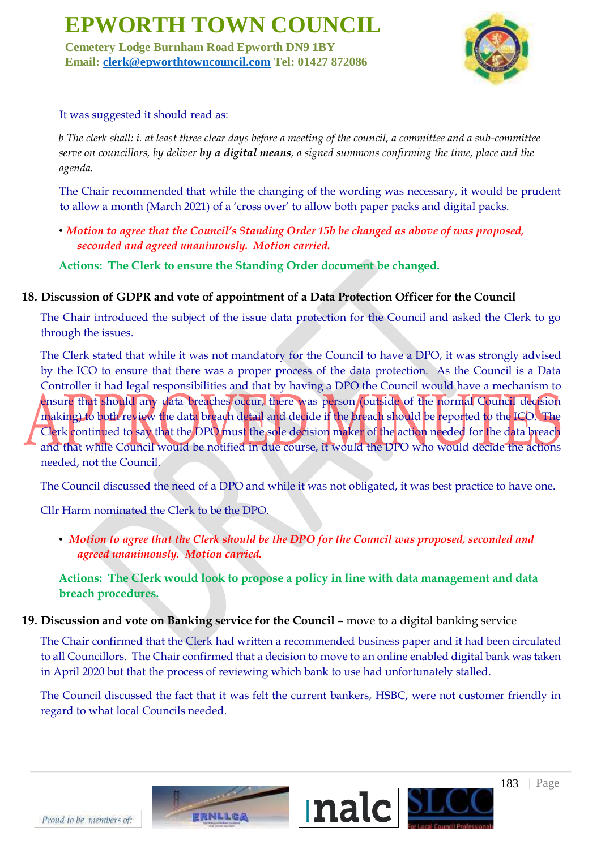**Cemetery Lodge Burnham Road Epworth DN9 1BY Email: clerk@epworthtowncouncil.com Tel: 01427 872086**



#### It was suggested it should read as:

*b The clerk shall: i. at least three clear days before a meeting of the council, a committee and a sub-committee serve on councillors, by deliver by a digital means, a signed summons confirming the time, place and the agenda.*

The Chair recommended that while the changing of the wording was necessary, it would be prudent to allow a month (March 2021) of a 'cross over' to allow both paper packs and digital packs.

• *Motion to agree that the Council's Standing Order 15b be changed as above of was proposed, seconded and agreed unanimously. Motion carried.*

**Actions: The Clerk to ensure the Standing Order document be changed.**

#### **18. Discussion of GDPR and vote of appointment of a Data Protection Officer for the Council**

The Chair introduced the subject of the issue data protection for the Council and asked the Clerk to go through the issues.

The Clerk stated that while it was not mandatory for the Council to have a DPO, it was strongly advised by the ICO to ensure that there was a proper process of the data protection. As the Council is a Data Controller it had legal responsibilities and that by having a DPO the Council would have a mechanism to ensure that should any data breaches occur, there was person (outside of the normal Council decision making) to both review the data breach detail and decide if the breach should be reported to the ICO. The Clerk continued to say that the DPO must the sole decision maker of the action needed for the data breach and that while Council would be notified in due course, it would the DPO who would decide the actions needed, not the Council.

The Council discussed the need of a DPO and while it was not obligated, it was best practice to have one.

Cllr Harm nominated the Clerk to be the DPO.

• *Motion to agree that the Clerk should be the DPO for the Council was proposed, seconded and agreed unanimously. Motion carried.*

**Actions: The Clerk would look to propose a policy in line with data management and data breach procedures.** 

### **19. Discussion and vote on Banking service for the Council –** move to a digital banking service

The Chair confirmed that the Clerk had written a recommended business paper and it had been circulated to all Councillors. The Chair confirmed that a decision to move to an online enabled digital bank was taken in April 2020 but that the process of reviewing which bank to use had unfortunately stalled.

The Council discussed the fact that it was felt the current bankers, HSBC, were not customer friendly in regard to what local Councils needed.



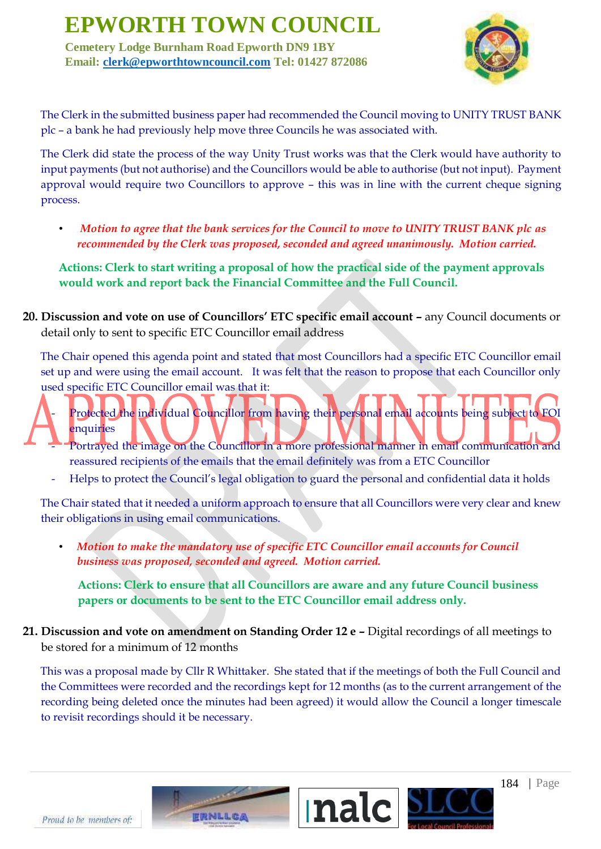**Cemetery Lodge Burnham Road Epworth DN9 1BY Email: clerk@epworthtowncouncil.com Tel: 01427 872086**



The Clerk in the submitted business paper had recommended the Council moving to UNITY TRUST BANK plc – a bank he had previously help move three Councils he was associated with.

The Clerk did state the process of the way Unity Trust works was that the Clerk would have authority to input payments (but not authorise) and the Councillors would be able to authorise (but not input). Payment approval would require two Councillors to approve – this was in line with the current cheque signing process.

• *Motion to agree that the bank services for the Council to move to UNITY TRUST BANK plc as recommended by the Clerk was proposed, seconded and agreed unanimously. Motion carried.*

**Actions: Clerk to start writing a proposal of how the practical side of the payment approvals would work and report back the Financial Committee and the Full Council.** 

**20. Discussion and vote on use of Councillors' ETC specific email account –** any Council documents or detail only to sent to specific ETC Councillor email address

The Chair opened this agenda point and stated that most Councillors had a specific ETC Councillor email set up and were using the email account. It was felt that the reason to propose that each Councillor only used specific ETC Councillor email was that it:

- Protected the individual Councillor from having their personal email accounts being subject to FOI enquiries
	- Portrayed the image on the Councillor in a more professional manner in email communication and reassured recipients of the emails that the email definitely was from a ETC Councillor
	- Helps to protect the Council's legal obligation to guard the personal and confidential data it holds

The Chair stated that it needed a uniform approach to ensure that all Councillors were very clear and knew their obligations in using email communications.

• *Motion to make the mandatory use of specific ETC Councillor email accounts for Council business was proposed, seconded and agreed. Motion carried.*

**Actions: Clerk to ensure that all Councillors are aware and any future Council business papers or documents to be sent to the ETC Councillor email address only.**

**21. Discussion and vote on amendment on Standing Order 12 e - Digital recordings of all meetings to** be stored for a minimum of 12 months

This was a proposal made by Cllr R Whittaker. She stated that if the meetings of both the Full Council and the Committees were recorded and the recordings kept for 12 months (as to the current arrangement of the recording being deleted once the minutes had been agreed) it would allow the Council a longer timescale to revisit recordings should it be necessary.

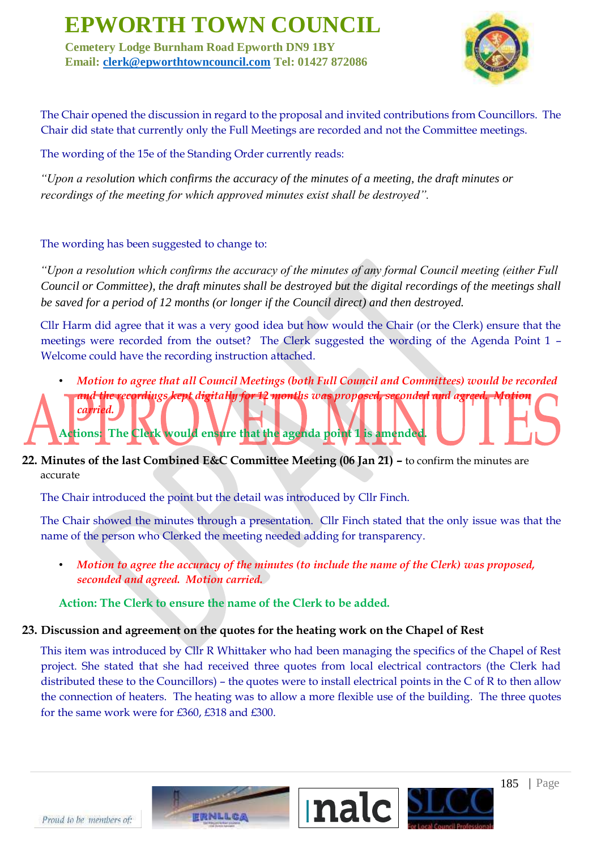**Cemetery Lodge Burnham Road Epworth DN9 1BY Email: clerk@epworthtowncouncil.com Tel: 01427 872086**



The Chair opened the discussion in regard to the proposal and invited contributions from Councillors. The Chair did state that currently only the Full Meetings are recorded and not the Committee meetings.

The wording of the 15e of the Standing Order currently reads:

*"Upon a resolution which confirms the accuracy of the minutes of a meeting, the draft minutes or recordings of the meeting for which approved minutes exist shall be destroyed".* 

### The wording has been suggested to change to:

*"Upon a resolution which confirms the accuracy of the minutes of any formal Council meeting (either Full Council or Committee), the draft minutes shall be destroyed but the digital recordings of the meetings shall be saved for a period of 12 months (or longer if the Council direct) and then destroyed.* 

Cllr Harm did agree that it was a very good idea but how would the Chair (or the Clerk) ensure that the meetings were recorded from the outset? The Clerk suggested the wording of the Agenda Point 1 – Welcome could have the recording instruction attached.

- *Motion to agree that all Council Meetings (both Full Council and Committees) would be recorded*  and the recordings kept digitally for 12 months was proposed, seconded and agreed *carried.* **Actions: The Clerk would ensure that the agenda point 1 is amended.**
- **22. Minutes of the last Combined E&C Committee Meeting (06 Jan 21) –** to confirm the minutes are accurate

The Chair introduced the point but the detail was introduced by Cllr Finch.

The Chair showed the minutes through a presentation. Cllr Finch stated that the only issue was that the name of the person who Clerked the meeting needed adding for transparency.

• *Motion to agree the accuracy of the minutes (to include the name of the Clerk) was proposed, seconded and agreed. Motion carried.*

### **Action: The Clerk to ensure the name of the Clerk to be added.**

### **23. Discussion and agreement on the quotes for the heating work on the Chapel of Rest**

This item was introduced by Cllr R Whittaker who had been managing the specifics of the Chapel of Rest project. She stated that she had received three quotes from local electrical contractors (the Clerk had distributed these to the Councillors) – the quotes were to install electrical points in the C of R to then allow the connection of heaters. The heating was to allow a more flexible use of the building. The three quotes for the same work were for £360, £318 and £300.

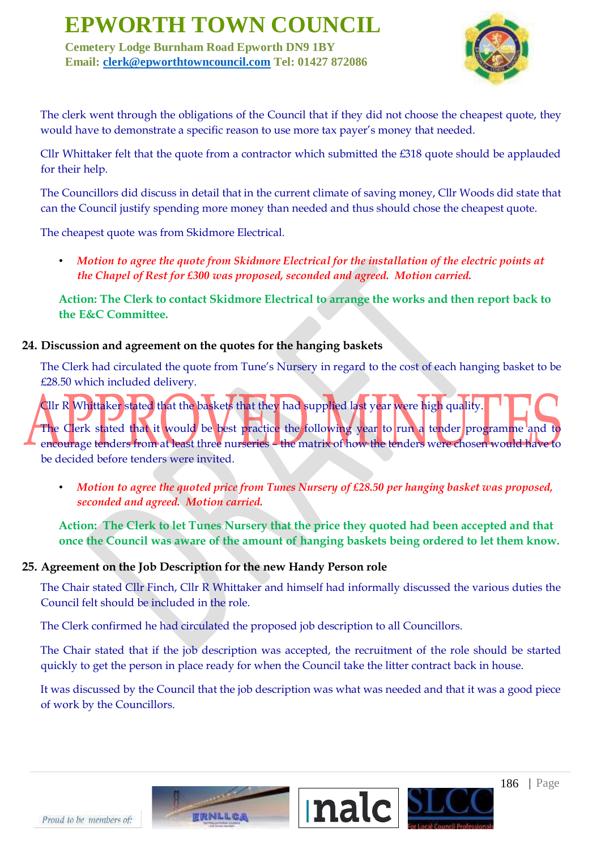**Cemetery Lodge Burnham Road Epworth DN9 1BY Email: clerk@epworthtowncouncil.com Tel: 01427 872086**



The clerk went through the obligations of the Council that if they did not choose the cheapest quote, they would have to demonstrate a specific reason to use more tax payer's money that needed.

Cllr Whittaker felt that the quote from a contractor which submitted the £318 quote should be applauded for their help.

The Councillors did discuss in detail that in the current climate of saving money, Cllr Woods did state that can the Council justify spending more money than needed and thus should chose the cheapest quote.

The cheapest quote was from Skidmore Electrical.

• *Motion to agree the quote from Skidmore Electrical for the installation of the electric points at the Chapel of Rest for £300 was proposed, seconded and agreed. Motion carried.*

**Action: The Clerk to contact Skidmore Electrical to arrange the works and then report back to the E&C Committee.**

#### **24. Discussion and agreement on the quotes for the hanging baskets**

The Clerk had circulated the quote from Tune's Nursery in regard to the cost of each hanging basket to be £28.50 which included delivery.

Cllr R Whittaker stated that the baskets that they had supplied last year were high quality. The Clerk stated that it would be best practice the following year to run a tender programme and to encourage tenders from at least three nurseries – the matrix of how the tenders were chosen would have to be decided before tenders were invited.

• *Motion to agree the quoted price from Tunes Nursery of £28.50 per hanging basket was proposed, seconded and agreed. Motion carried.*

**Action: The Clerk to let Tunes Nursery that the price they quoted had been accepted and that once the Council was aware of the amount of hanging baskets being ordered to let them know.**

#### **25. Agreement on the Job Description for the new Handy Person role**

The Chair stated Cllr Finch, Cllr R Whittaker and himself had informally discussed the various duties the Council felt should be included in the role.

The Clerk confirmed he had circulated the proposed job description to all Councillors.

The Chair stated that if the job description was accepted, the recruitment of the role should be started quickly to get the person in place ready for when the Council take the litter contract back in house.

It was discussed by the Council that the job description was what was needed and that it was a good piece of work by the Councillors.



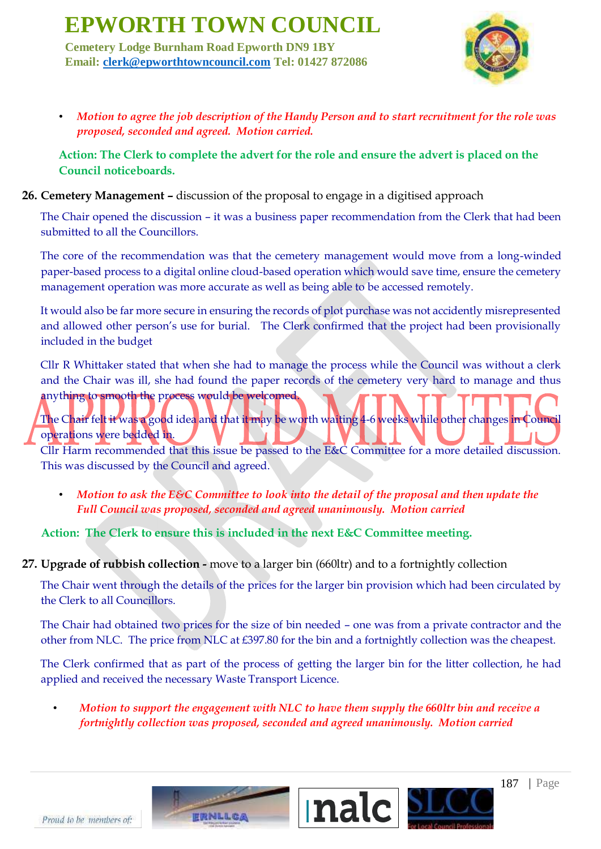**Cemetery Lodge Burnham Road Epworth DN9 1BY Email: clerk@epworthtowncouncil.com Tel: 01427 872086**



• *Motion to agree the job description of the Handy Person and to start recruitment for the role was proposed, seconded and agreed. Motion carried.*

**Action: The Clerk to complete the advert for the role and ensure the advert is placed on the Council noticeboards.**

### **26. Cemetery Management –** discussion of the proposal to engage in a digitised approach

The Chair opened the discussion – it was a business paper recommendation from the Clerk that had been submitted to all the Councillors.

The core of the recommendation was that the cemetery management would move from a long-winded paper-based process to a digital online cloud-based operation which would save time, ensure the cemetery management operation was more accurate as well as being able to be accessed remotely.

It would also be far more secure in ensuring the records of plot purchase was not accidently misrepresented and allowed other person's use for burial. The Clerk confirmed that the project had been provisionally included in the budget

Cllr R Whittaker stated that when she had to manage the process while the Council was without a clerk and the Chair was ill, she had found the paper records of the cemetery very hard to manage and thus anything to smooth the process would be welcomed.

# The Chair felt it was a good idea and that it may be worth waiting 4-6 weeks while other changes in Council operations were bedded in.

Cllr Harm recommended that this issue be passed to the E&C Committee for a more detailed discussion. This was discussed by the Council and agreed.

• *Motion to ask the E&C Committee to look into the detail of the proposal and then update the Full Council was proposed, seconded and agreed unanimously. Motion carried*

**Action: The Clerk to ensure this is included in the next E&C Committee meeting.**

**27. Upgrade of rubbish collection -** move to a larger bin (660ltr) and to a fortnightly collection

The Chair went through the details of the prices for the larger bin provision which had been circulated by the Clerk to all Councillors.

The Chair had obtained two prices for the size of bin needed – one was from a private contractor and the other from NLC. The price from NLC at £397.80 for the bin and a fortnightly collection was the cheapest.

The Clerk confirmed that as part of the process of getting the larger bin for the litter collection, he had applied and received the necessary Waste Transport Licence.

• *Motion to support the engagement with NLC to have them supply the 660ltr bin and receive a fortnightly collection was proposed, seconded and agreed unanimously. Motion carried*

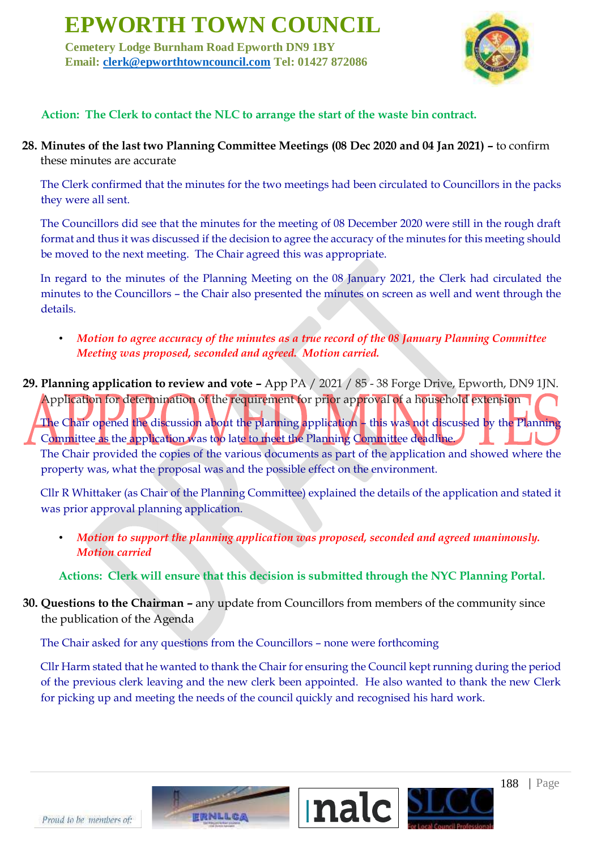**Cemetery Lodge Burnham Road Epworth DN9 1BY Email: clerk@epworthtowncouncil.com Tel: 01427 872086**



### **Action: The Clerk to contact the NLC to arrange the start of the waste bin contract.**

**28. Minutes of the last two Planning Committee Meetings (08 Dec 2020 and 04 Jan 2021) –** to confirm these minutes are accurate

The Clerk confirmed that the minutes for the two meetings had been circulated to Councillors in the packs they were all sent.

The Councillors did see that the minutes for the meeting of 08 December 2020 were still in the rough draft format and thus it was discussed if the decision to agree the accuracy of the minutes for this meeting should be moved to the next meeting. The Chair agreed this was appropriate.

In regard to the minutes of the Planning Meeting on the 08 January 2021, the Clerk had circulated the minutes to the Councillors – the Chair also presented the minutes on screen as well and went through the details.

- *Motion to agree accuracy of the minutes as a true record of the 08 January Planning Committee Meeting was proposed, seconded and agreed. Motion carried.*
- **29. Planning application to review and vote –** App PA / 2021 / 85 38 Forge Drive, Epworth, DN9 1JN. Application for determination of the requirement for prior approval of a household extension The Chair opened the discussion about the planning application – this was not discussed by the Planning Committee as the application was too late to meet the Planning Committee deadline. The Chair provided the copies of the various documents as part of the application and showed where the

property was, what the proposal was and the possible effect on the environment.

Cllr R Whittaker (as Chair of the Planning Committee) explained the details of the application and stated it was prior approval planning application.

• *Motion to support the planning application was proposed, seconded and agreed unanimously. Motion carried*

**Actions: Clerk will ensure that this decision is submitted through the NYC Planning Portal.**

**30. Questions to the Chairman –** any update from Councillors from members of the community since the publication of the Agenda

The Chair asked for any questions from the Councillors – none were forthcoming

Cllr Harm stated that he wanted to thank the Chair for ensuring the Council kept running during the period of the previous clerk leaving and the new clerk been appointed. He also wanted to thank the new Clerk for picking up and meeting the needs of the council quickly and recognised his hard work.